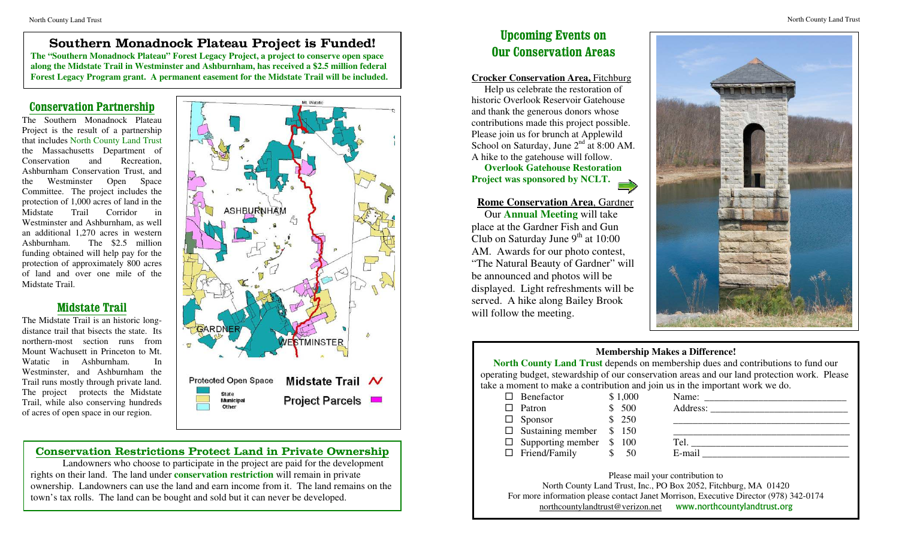### **Example 20 Monoclassic Plateau Project is Europe) Upcoming Events on Southern Monadnock Plateau Project is Funded!**

**The "Southern Monadnock Plateau" Forest Legacy Project, a project to conserve open space along the Midstate Trail in Westminster and Ashburnham, has received a \$2.5 million federal Forest Legacy Program grant. A permanent easement for the Midstate Trail will be included.** 

### **Conservation Partnership**

The Southern Monadnock Plateau Project is the result of a partnership that includes North County Land Trust the Massachusetts Department of Conservation and Recreation, Ashburnham Conservation Trust, and the Westminster Open Space Committee. The project includes the protection of 1,000 acres of land in the Midstate Trail Corridor in Westminster and Ashburnham, as well an additional 1,270 acres in western Ashburnham. The \$2.5 million funding obtained will help pay for the protection of approximately 800 acres of land and over one mile of the Midstate Trail.

## **Midstate Trail**

The Midstate Trail is an historic longdistance trail that bisects the state. Its northern-most section runs from Mount Wachusett in Princeton to Mt. Watatic in Ashburnham. In Westminster, and Ashburnham the Trail runs mostly through private land. The project protects the Midstate Trail, while also conserving hundreds of acres of open space in our region.



## **Conservation Restrictions Protect Land in Private Ownership**

Landowners who choose to participate in the project are paid for the development rights on their land. The land under **conservation restriction** will remain in private ownership. Landowners can use the land and earn income from it. The land remains on the town's tax rolls. The land can be bought and sold but it can never be developed.

# **Our Conservation Areas**

#### **Crocker Conservation Area,** Fitchburg

Help us celebrate the restoration of historic Overlook Reservoir Gatehouse and thank the generous donors whose contributions made this project possible. Please join us for brunch at Applewild School on Saturday, June  $2<sup>nd</sup>$  at 8:00 AM. A hike to the gatehouse will follow.

**Overlook Gatehouse Restoration Project was sponsored by NCLT.** 

### **Rome Conservation Area**, Gardner Our **Annual Meeting** will take place at the Gardner Fish and Gun Club on Saturday June  $9<sup>th</sup>$  at 10:00 AM. Awards for our photo contest, "The Natural Beauty of Gardner" will be announced and photos will be displayed. Light refreshments will be served. A hike along Bailey Brook will follow the meeting.



### **Membership Makes a Difference!**

**North County Land Trust** depends on membership dues and contributions to fund our operating budget, stewardship of our conservation areas and our land protection work. Please take a moment to make a contribution and join us in the important work we do.

| $\Box$ Benefactor               | \$1,000 | Name:  |
|---------------------------------|---------|--------|
| Patron                          | \$500   |        |
| <b>Sponsor</b>                  | \$250   |        |
| $\Box$ Sustaining member        | \$150   |        |
| $\Box$ Supporting member \$ 100 |         | Tel.   |
| $\Box$ Friend/Family            | 50      | E-mail |
|                                 |         |        |

Please mail your contribution to North County Land Trust, Inc., PO Box 2052, Fitchburg, MA 01420 For more information please contact Janet Morrison, Executive Director (978) 342-0174 [northcountylandtrust@verizon.net](mailto:northcountylandtrust@verizon.net) www.northcountylandtrust.org